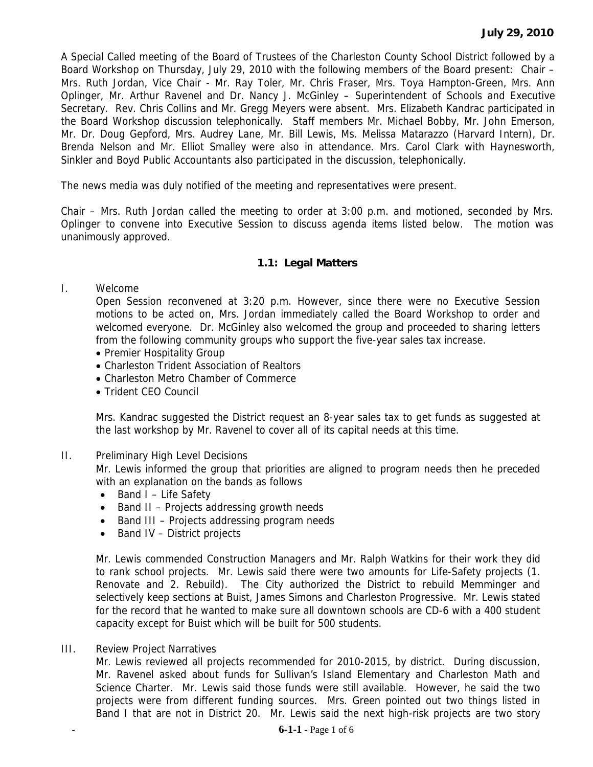A Special Called meeting of the Board of Trustees of the Charleston County School District followed by a Board Workshop on Thursday, July 29, 2010 with the following members of the Board present: Chair – Mrs. Ruth Jordan, Vice Chair - Mr. Ray Toler, Mr. Chris Fraser, Mrs. Toya Hampton-Green, Mrs. Ann Oplinger, Mr. Arthur Ravenel and Dr. Nancy J. McGinley – Superintendent of Schools and Executive Secretary. Rev. Chris Collins and Mr. Gregg Meyers were absent. Mrs. Elizabeth Kandrac participated in the Board Workshop discussion telephonically. Staff members Mr. Michael Bobby, Mr. John Emerson, Mr. Dr. Doug Gepford, Mrs. Audrey Lane, Mr. Bill Lewis, Ms. Melissa Matarazzo (Harvard Intern), Dr. Brenda Nelson and Mr. Elliot Smalley were also in attendance. Mrs. Carol Clark with Haynesworth, Sinkler and Boyd Public Accountants also participated in the discussion, telephonically.

The news media was duly notified of the meeting and representatives were present.

Chair – Mrs. Ruth Jordan called the meeting to order at 3:00 p.m. and motioned, seconded by Mrs. Oplinger to convene into Executive Session to discuss agenda items listed below. The motion was unanimously approved.

## **1.1: Legal Matters**

I. Welcome

Open Session reconvened at 3:20 p.m. However, since there were no Executive Session motions to be acted on, Mrs. Jordan immediately called the Board Workshop to order and welcomed everyone. Dr. McGinley also welcomed the group and proceeded to sharing letters from the following community groups who support the five-year sales tax increase.

- Premier Hospitality Group
- Charleston Trident Association of Realtors
- Charleston Metro Chamber of Commerce
- Trident CEO Council

Mrs. Kandrac suggested the District request an 8-year sales tax to get funds as suggested at the last workshop by Mr. Ravenel to cover all of its capital needs at this time.

II. Preliminary High Level Decisions

Mr. Lewis informed the group that priorities are aligned to program needs then he preceded with an explanation on the bands as follows

- Band I Life Safety
- Band II Projects addressing growth needs
- Band III Projects addressing program needs
- Band IV District projects

Mr. Lewis commended Construction Managers and Mr. Ralph Watkins for their work they did to rank school projects. Mr. Lewis said there were two amounts for Life-Safety projects (1. Renovate and 2. Rebuild). The City authorized the District to rebuild Memminger and selectively keep sections at Buist, James Simons and Charleston Progressive. Mr. Lewis stated for the record that he wanted to make sure all downtown schools are CD-6 with a 400 student capacity except for Buist which will be built for 500 students.

III. Review Project Narratives

Mr. Lewis reviewed all projects recommended for 2010-2015, by district. During discussion, Mr. Ravenel asked about funds for Sullivan's Island Elementary and Charleston Math and Science Charter. Mr. Lewis said those funds were still available. However, he said the two projects were from different funding sources. Mrs. Green pointed out two things listed in Band I that are not in District 20. Mr. Lewis said the next high-risk projects are two story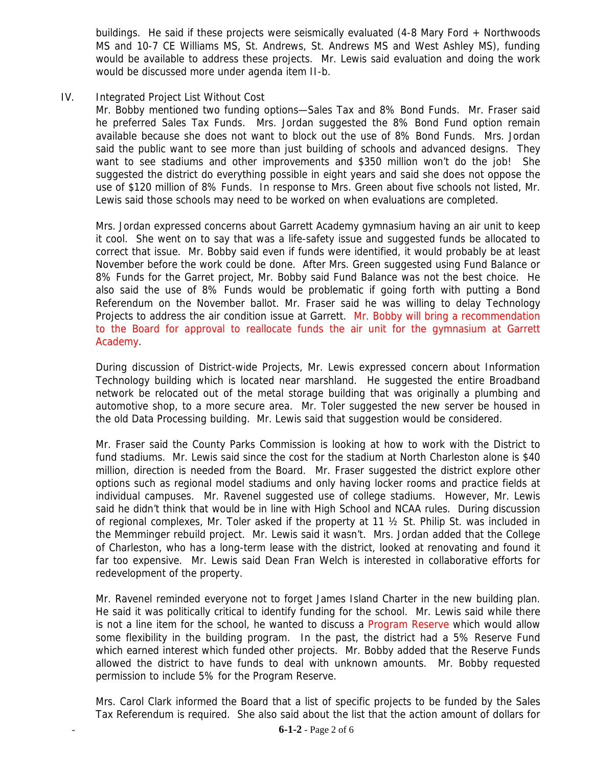buildings. He said if these projects were seismically evaluated (4-8 Mary Ford + Northwoods MS and 10-7 CE Williams MS, St. Andrews, St. Andrews MS and West Ashley MS), funding would be available to address these projects. Mr. Lewis said evaluation and doing the work would be discussed more under agenda item II-b.

## IV. Integrated Project List Without Cost

Mr. Bobby mentioned two funding options—Sales Tax and 8% Bond Funds. Mr. Fraser said he preferred Sales Tax Funds. Mrs. Jordan suggested the 8% Bond Fund option remain available because she does not want to block out the use of 8% Bond Funds. Mrs. Jordan said the public want to see more than just building of schools and advanced designs. They want to see stadiums and other improvements and \$350 million won't do the job! She suggested the district do everything possible in eight years and said she does not oppose the use of \$120 million of 8% Funds. In response to Mrs. Green about five schools not listed, Mr. Lewis said those schools may need to be worked on when evaluations are completed.

Mrs. Jordan expressed concerns about Garrett Academy gymnasium having an air unit to keep it cool. She went on to say that was a life-safety issue and suggested funds be allocated to correct that issue. Mr. Bobby said even if funds were identified, it would probably be at least November before the work could be done. After Mrs. Green suggested using Fund Balance or 8% Funds for the Garret project, Mr. Bobby said Fund Balance was not the best choice. He also said the use of 8% Funds would be problematic if going forth with putting a Bond Referendum on the November ballot. Mr. Fraser said he was willing to delay Technology Projects to address the air condition issue at Garrett. Mr. Bobby will bring a recommendation to the Board for approval to reallocate funds the air unit for the gymnasium at Garrett Academy.

During discussion of District-wide Projects, Mr. Lewis expressed concern about Information Technology building which is located near marshland. He suggested the entire Broadband network be relocated out of the metal storage building that was originally a plumbing and automotive shop, to a more secure area. Mr. Toler suggested the new server be housed in the old Data Processing building. Mr. Lewis said that suggestion would be considered.

Mr. Fraser said the County Parks Commission is looking at how to work with the District to fund stadiums. Mr. Lewis said since the cost for the stadium at North Charleston alone is \$40 million, direction is needed from the Board. Mr. Fraser suggested the district explore other options such as regional model stadiums and only having locker rooms and practice fields at individual campuses. Mr. Ravenel suggested use of college stadiums. However, Mr. Lewis said he didn't think that would be in line with High School and NCAA rules. During discussion of regional complexes, Mr. Toler asked if the property at 11 ½ St. Philip St. was included in the Memminger rebuild project. Mr. Lewis said it wasn't. Mrs. Jordan added that the College of Charleston, who has a long-term lease with the district, looked at renovating and found it far too expensive. Mr. Lewis said Dean Fran Welch is interested in collaborative efforts for redevelopment of the property.

Mr. Ravenel reminded everyone not to forget James Island Charter in the new building plan. He said it was politically critical to identify funding for the school. Mr. Lewis said while there is not a line item for the school, he wanted to discuss a Program Reserve which would allow some flexibility in the building program. In the past, the district had a 5% Reserve Fund which earned interest which funded other projects. Mr. Bobby added that the Reserve Funds allowed the district to have funds to deal with unknown amounts. Mr. Bobby requested permission to include 5% for the Program Reserve.

Mrs. Carol Clark informed the Board that a list of specific projects to be funded by the Sales Tax Referendum is required. She also said about the list that the action amount of dollars for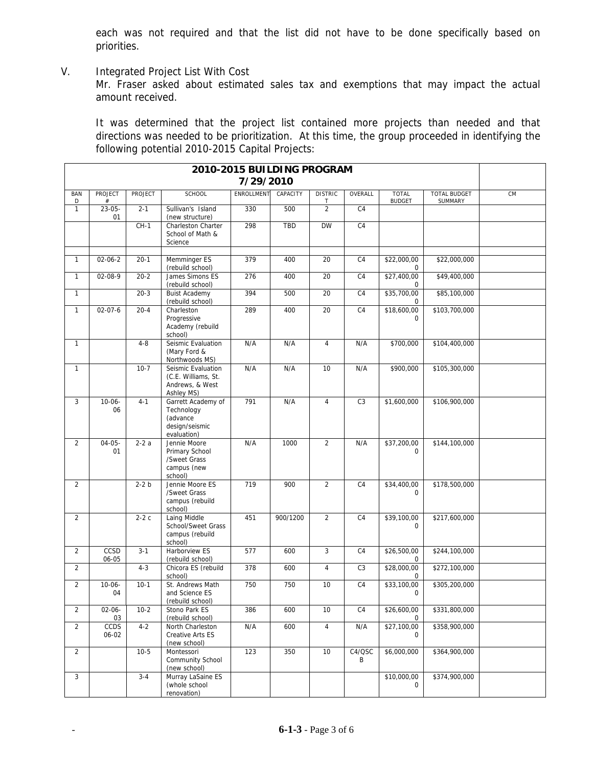each was not required and that the list did not have to be done specifically based on priorities.

V. Integrated Project List With Cost

Mr. Fraser asked about estimated sales tax and exemptions that may impact the actual amount received.

It was determined that the project list contained more projects than needed and that directions was needed to be prioritization. At this time, the group proceeded in identifying the following potential 2010-2015 Capital Projects:

| 2010-2015 BUILDING PROGRAM<br>7/29/2010 |                        |                |                                                                               |                   |          |                     |                |                               |                         |    |
|-----------------------------------------|------------------------|----------------|-------------------------------------------------------------------------------|-------------------|----------|---------------------|----------------|-------------------------------|-------------------------|----|
| <b>BAN</b><br>D                         | <b>PROJECT</b><br>$\#$ | <b>PROJECT</b> | <b>SCHOOL</b>                                                                 | <b>ENROLLMENT</b> | CAPACITY | <b>DISTRIC</b>      | OVERALL        | <b>TOTAL</b><br><b>BUDGET</b> | TOTAL BUDGET<br>SUMMARY | CM |
| $\mathbf{1}$                            | $23 - 05 -$<br>01      | $2 - 1$        | Sullivan's Island<br>(new structure)                                          | 330               | 500      | T<br>$\overline{2}$ | C <sub>4</sub> |                               |                         |    |
|                                         |                        | $CH-1$         | Charleston Charter<br>School of Math &<br>Science                             | 298               | TBD      | <b>DW</b>           | C <sub>4</sub> |                               |                         |    |
| $\mathbf{1}$                            | $02 - 06 - 2$          | $20-1$         | Memminger ES<br>(rebuild school)                                              | 379               | 400      | 20                  | C <sub>4</sub> | \$22,000,00<br>0              | \$22,000,000            |    |
| $\mathbf{1}$                            | 02-08-9                | $20 - 2$       | James Simons ES<br>(rebuild school)                                           | 276               | 400      | 20                  | C <sub>4</sub> | \$27,400,00<br>$\mathbf 0$    | \$49,400,000            |    |
| $\mathbf{1}$                            |                        | $20-3$         | <b>Buist Academy</b><br>(rebuild school)                                      | 394               | 500      | 20                  | C <sub>4</sub> | \$35,700,00<br>$\mathbf 0$    | \$85,100,000            |    |
| $\mathbf{1}$                            | $02 - 07 - 6$          | $20 - 4$       | Charleston<br>Progressive<br>Academy (rebuild<br>school)                      | 289               | 400      | 20                  | C <sub>4</sub> | \$18,600,00<br>$\Omega$       | \$103,700,000           |    |
| $\mathbf{1}$                            |                        | $4 - 8$        | Seismic Evaluation<br>(Mary Ford &<br>Northwoods MS)                          | N/A               | N/A      | $\overline{4}$      | N/A            | \$700,000                     | \$104,400,000           |    |
| $\mathbf{1}$                            |                        | $10-7$         | Seismic Evaluation<br>(C.E. Williams, St.<br>Andrews, & West<br>Ashley MS)    | N/A               | N/A      | 10                  | N/A            | \$900,000                     | \$105,300,000           |    |
| 3                                       | $10 - 06 -$<br>06      | $4 - 1$        | Garrett Academy of<br>Technology<br>(advance<br>design/seismic<br>evaluation) | 791               | N/A      | $\overline{4}$      | C <sub>3</sub> | \$1,600,000                   | \$106,900,000           |    |
| $\overline{2}$                          | $04 - 05 -$<br>01      | $2-2a$         | Jennie Moore<br>Primary School<br>/Sweet Grass<br>campus (new<br>school)      | N/A               | 1000     | $\overline{2}$      | N/A            | \$37,200,00<br>0              | \$144.100.000           |    |
| 2                                       |                        | $2-2 b$        | Jennie Moore ES<br>/Sweet Grass<br>campus (rebuild<br>school)                 | 719               | 900      | 2                   | C <sub>4</sub> | \$34,400,00<br>0              | \$178,500,000           |    |
| $\overline{2}$                          |                        | $2-2c$         | Laing Middle<br>School/Sweet Grass<br>campus (rebuild<br>school)              | 451               | 900/1200 | $\overline{2}$      | C <sub>4</sub> | \$39,100,00<br>$\Omega$       | \$217,600,000           |    |
| $\overline{2}$                          | CCSD<br>06-05          | $3 - 1$        | <b>Harborview ES</b><br>(rebuild school)                                      | 577               | 600      | 3                   | C4             | \$26,500,00<br>0              | \$244,100,000           |    |
| $\overline{2}$                          |                        | $4 - 3$        | Chicora ES (rebuild<br>school)                                                | 378               | 600      | 4                   | C <sub>3</sub> | \$28,000,00<br>0              | \$272,100,000           |    |
| $\overline{2}$                          | $10 - 06 -$<br>04      | $10-1$         | St. Andrews Math<br>and Science ES<br>(rebuild school)                        | 750               | 750      | 10                  | C <sub>4</sub> | \$33,100,00<br>0              | \$305,200,000           |    |
| $\overline{2}$                          | $02 - 06 -$<br>03      | $10-2$         | Stono Park ES<br>(rebuild school)                                             | 386               | 600      | 10                  | C <sub>4</sub> | \$26,600,00<br>0              | \$331,800,000           |    |
| $\overline{2}$                          | <b>CCDS</b><br>06-02   | $4 - 2$        | North Charleston<br>Creative Arts ES<br>(new school)                          | N/A               | 600      | $\overline{4}$      | N/A            | \$27,100,00<br>0              | \$358,900,000           |    |
| $\overline{2}$                          |                        | $10 - 5$       | Montessori<br>Community School<br>(new school)                                | 123               | 350      | 10                  | C4/QSC<br>B    | \$6,000,000                   | \$364,900,000           |    |
| 3                                       |                        | $3 - 4$        | Murray LaSaine ES<br>(whole school<br>renovation)                             |                   |          |                     |                | \$10,000,00<br>0              | \$374,900,000           |    |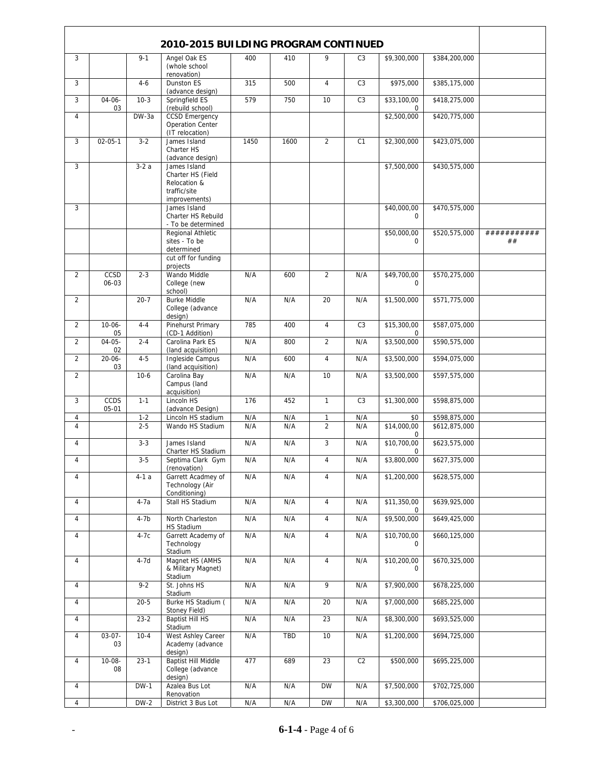| 2010-2015 BUILDING PROGRAM CONTINUED |                   |             |                                                                                    |      |            |                |                |                            |               |                   |
|--------------------------------------|-------------------|-------------|------------------------------------------------------------------------------------|------|------------|----------------|----------------|----------------------------|---------------|-------------------|
| 3                                    |                   | $9 - 1$     | Angel Oak ES<br>(whole school                                                      | 400  | 410        | 9              | C <sub>3</sub> | \$9,300,000                | \$384,200,000 |                   |
| 3                                    |                   | $4 - 6$     | renovation)<br>Dunston ES                                                          | 315  | 500        | $\overline{4}$ | C <sub>3</sub> | \$975,000                  | \$385,175,000 |                   |
| 3                                    | $04 - 06 -$       | $10-3$      | (advance design)<br>Springfield ES                                                 | 579  | 750        | 10             | C <sub>3</sub> | \$33,100,00                | \$418,275,000 |                   |
| $\overline{4}$                       | 03                | DW-3a       | (rebuild school)<br><b>CCSD Emergency</b>                                          |      |            |                |                | 0<br>\$2,500,000           | \$420,775,000 |                   |
|                                      |                   |             | <b>Operation Center</b><br>(IT relocation)                                         |      |            |                |                |                            |               |                   |
| 3                                    | $02 - 05 - 1$     | $3 - 2$     | James Island<br>Charter HS<br>(advance design)                                     | 1450 | 1600       | $\overline{2}$ | C1             | \$2,300,000                | \$423,075,000 |                   |
| 3                                    |                   | $3-2a$      | James Island<br>Charter HS (Field<br>Relocation &<br>traffic/site<br>improvements) |      |            |                |                | \$7,500,000                | \$430,575,000 |                   |
| 3                                    |                   |             | James Island<br>Charter HS Rebuild<br>- To be determined                           |      |            |                |                | \$40,000,00<br>$\mathbf 0$ | \$470,575,000 |                   |
|                                      |                   |             | Regional Athletic<br>sites - To be<br>determined<br>cut off for funding            |      |            |                |                | \$50,000,00<br>$\Omega$    | \$520,575,000 | ###########<br>## |
|                                      |                   |             | projects                                                                           |      |            |                |                |                            |               |                   |
| $\overline{2}$                       | CCSD<br>06-03     | $2 - 3$     | Wando Middle<br>College (new<br>school)                                            | N/A  | 600        | $\overline{2}$ | N/A            | \$49,700,00<br>0           | \$570,275,000 |                   |
| $\overline{2}$                       |                   | $20 - 7$    | <b>Burke Middle</b><br>College (advance<br>design)                                 | N/A  | N/A        | 20             | N/A            | \$1,500,000                | \$571,775,000 |                   |
| 2                                    | $10 - 06 -$<br>05 | $4 - 4$     | <b>Pinehurst Primary</b><br>(CD-1 Addition)                                        | 785  | 400        | $\overline{4}$ | C <sub>3</sub> | \$15,300,00<br>0           | \$587,075,000 |                   |
| $\overline{2}$                       | $04 - 05 -$<br>02 | $2 - 4$     | Carolina Park ES<br>(land acquisition)                                             | N/A  | 800        | $\overline{2}$ | N/A            | \$3,500,000                | \$590,575,000 |                   |
| $\overline{2}$                       | $20 - 06 -$<br>03 | $4 - 5$     | Ingleside Campus<br>(land acquisition)                                             | N/A  | 600        | $\overline{4}$ | N/A            | \$3,500,000                | \$594,075,000 |                   |
| $\overline{2}$                       |                   | $10-6$      | Carolina Bay<br>Campus (land<br>acquisition)                                       | N/A  | N/A        | 10             | N/A            | $\overline{$3,500,000}$    | \$597,575,000 |                   |
| 3                                    | CCDS<br>05-01     | $1 - 1$     | Lincoln HS<br>(advance Design)                                                     | 176  | 452        | $\mathbf{1}$   | C <sub>3</sub> | \$1,300,000                | \$598,875,000 |                   |
| $\overline{4}$                       |                   | $1 - 2$     | Lincoln HS stadium                                                                 | N/A  | N/A        | $\mathbf{1}$   | N/A            | \$0                        | \$598,875,000 |                   |
| $\overline{4}$                       |                   | $2 - 5$     | Wando HS Stadium                                                                   | N/A  | N/A        | $\overline{2}$ | N/A            | \$14,000,00<br>0           | \$612,875,000 |                   |
| $\overline{4}$                       |                   | $3 - 3$     | James Island<br>Charter HS Stadium                                                 | N/A  | N/A        | 3              | N/A            | \$10,700,00<br>0           | \$623,575,000 |                   |
| 4                                    |                   | $3 - 5$     | Septima Clark Gym<br>(renovation)                                                  | N/A  | N/A        | 4              | N/A            | \$3,800,000                | \$627,375,000 |                   |
| 4                                    |                   | $4-1a$      | Garrett Acadmey of<br>Technology (Air<br>Conditioning)                             | N/A  | N/A        | 4              | N/A            | \$1,200,000                | \$628,575,000 |                   |
| $\overline{4}$                       |                   | 4-7a        | Stall HS Stadium                                                                   | N/A  | N/A        | $\overline{4}$ | N/A            | \$11,350,00<br>0           | \$639,925,000 |                   |
| $\overline{4}$                       |                   | $4-7b$      | North Charleston<br>HS Stadium                                                     | N/A  | N/A        | $\overline{4}$ | N/A            | \$9,500,000                | \$649,425,000 |                   |
| $\overline{4}$                       |                   | 4-7c        | Garrett Academy of<br>Technology<br>Stadium                                        | N/A  | N/A        | $\overline{4}$ | N/A            | \$10,700,00<br>0           | \$660,125,000 |                   |
| $\overline{4}$                       |                   | $4-7d$      | Magnet HS (AMHS<br>& Military Magnet)<br>Stadium                                   | N/A  | N/A        | $\overline{4}$ | N/A            | \$10,200,00<br>0           | \$670,325,000 |                   |
| $\overline{4}$                       |                   | $9 - 2$     | St. Johns HS<br>Stadium                                                            | N/A  | N/A        | 9              | N/A            | \$7,900,000                | \$678,225,000 |                   |
| $\overline{4}$                       |                   | $20 - 5$    | Burke HS Stadium (<br>Stoney Field)                                                | N/A  | N/A        | 20             | N/A            | \$7,000,000                | \$685,225,000 |                   |
| $\overline{4}$                       |                   | $23-2$      | <b>Baptist Hill HS</b><br>Stadium                                                  | N/A  | N/A        | 23             | N/A            | \$8,300,000                | \$693,525,000 |                   |
| $\overline{4}$                       | $03-07-$<br>03    | $10-4$      | West Ashley Career<br>Academy (advance<br>design)                                  | N/A  | <b>TBD</b> | 10             | N/A            | \$1,200,000                | \$694,725,000 |                   |
| $\overline{4}$                       | $10 - 08 -$<br>08 | $23-1$      | <b>Baptist Hill Middle</b><br>College (advance<br>design)                          | 477  | 689        | 23             | C <sub>2</sub> | \$500,000                  | \$695,225,000 |                   |
| $\overline{4}$                       |                   | <b>DW-1</b> | Azalea Bus Lot<br>Renovation                                                       | N/A  | N/A        | <b>DW</b>      | N/A            | \$7,500,000                | \$702,725,000 |                   |
| 4                                    |                   | $DW-2$      | District 3 Bus Lot                                                                 | N/A  | N/A        | <b>DW</b>      | N/A            | \$3,300,000                | \$706,025,000 |                   |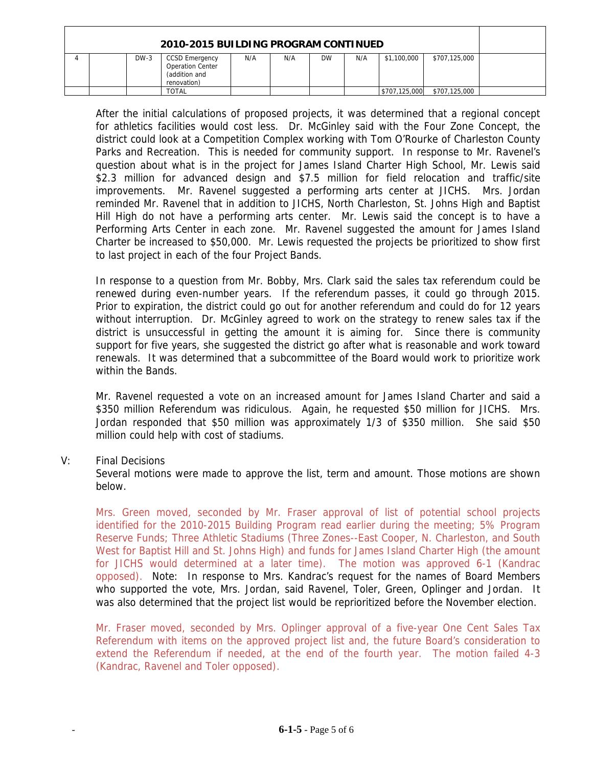| 2010-2015 BUILDING PROGRAM CONTINUED |  |        |                                                                                  |     |     |           |     |               |               |  |
|--------------------------------------|--|--------|----------------------------------------------------------------------------------|-----|-----|-----------|-----|---------------|---------------|--|
|                                      |  | $DW-3$ | <b>CCSD Emergency</b><br><b>Operation Center</b><br>(addition and<br>renovation) | N/A | N/A | <b>DW</b> | N/A | \$1,100,000   | \$707,125,000 |  |
|                                      |  |        | TOTAL                                                                            |     |     |           |     | \$707,125,000 | \$707,125,000 |  |

After the initial calculations of proposed projects, it was determined that a regional concept for athletics facilities would cost less. Dr. McGinley said with the Four Zone Concept, the district could look at a Competition Complex working with Tom O'Rourke of Charleston County Parks and Recreation. This is needed for community support. In response to Mr. Ravenel's question about what is in the project for James Island Charter High School, Mr. Lewis said \$2.3 million for advanced design and \$7.5 million for field relocation and traffic/site improvements. Mr. Ravenel suggested a performing arts center at JICHS. Mrs. Jordan reminded Mr. Ravenel that in addition to JICHS, North Charleston, St. Johns High and Baptist Hill High do not have a performing arts center. Mr. Lewis said the concept is to have a Performing Arts Center in each zone. Mr. Ravenel suggested the amount for James Island Charter be increased to \$50,000. Mr. Lewis requested the projects be prioritized to show first to last project in each of the four Project Bands.

In response to a question from Mr. Bobby, Mrs. Clark said the sales tax referendum could be renewed during even-number years. If the referendum passes, it could go through 2015. Prior to expiration, the district could go out for another referendum and could do for 12 years without interruption. Dr. McGinley agreed to work on the strategy to renew sales tax if the district is unsuccessful in getting the amount it is aiming for. Since there is community support for five years, she suggested the district go after what is reasonable and work toward renewals. It was determined that a subcommittee of the Board would work to prioritize work within the Bands.

Mr. Ravenel requested a vote on an increased amount for James Island Charter and said a \$350 million Referendum was ridiculous. Again, he requested \$50 million for JICHS. Mrs. Jordan responded that \$50 million was approximately 1/3 of \$350 million. She said \$50 million could help with cost of stadiums.

V: Final Decisions

 Several motions were made to approve the list, term and amount. Those motions are shown below.

Mrs. Green moved, seconded by Mr. Fraser approval of list of potential school projects identified for the 2010-2015 Building Program read earlier during the meeting; 5% Program Reserve Funds; Three Athletic Stadiums (Three Zones--East Cooper, N. Charleston, and South West for Baptist Hill and St. Johns High) and funds for James Island Charter High (the amount for JICHS would determined at a later time). The motion was approved 6-1 (Kandrac opposed). Note: In response to Mrs. Kandrac's request for the names of Board Members who supported the vote, Mrs. Jordan, said Ravenel, Toler, Green, Oplinger and Jordan. It was also determined that the project list would be reprioritized before the November election.

Mr. Fraser moved, seconded by Mrs. Oplinger approval of a five-year One Cent Sales Tax Referendum with items on the approved project list and, the future Board's consideration to extend the Referendum if needed, at the end of the fourth year. The motion failed 4-3 (Kandrac, Ravenel and Toler opposed).